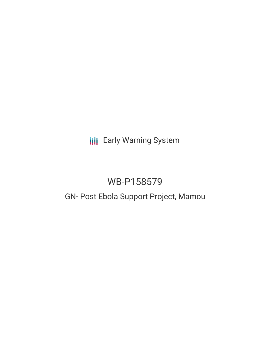**III** Early Warning System

# WB-P158579

# GN- Post Ebola Support Project, Mamou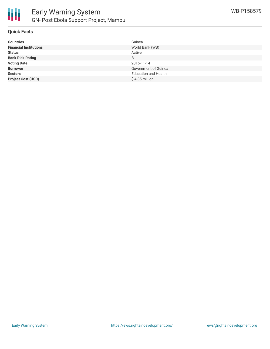

## **Quick Facts**

| <b>Countries</b>              | Guinea                      |
|-------------------------------|-----------------------------|
| <b>Financial Institutions</b> | World Bank (WB)             |
| <b>Status</b>                 | Active                      |
| <b>Bank Risk Rating</b>       | B                           |
| <b>Voting Date</b>            | 2016-11-14                  |
| <b>Borrower</b>               | Government of Guinea        |
| <b>Sectors</b>                | <b>Education and Health</b> |
| <b>Project Cost (USD)</b>     | \$4.35 million              |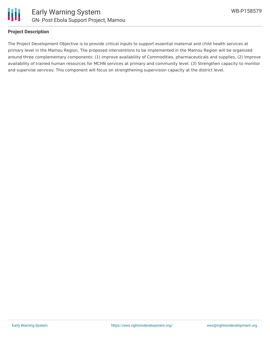

### **Project Description**

The Project Development Objective is to provide critical inputs to support essential maternal and child health services at primary level in the Mamou Region. The proposed interventions to be implemented in the Mamou Region will be organized around three complementary components: (1) improve availability of Commodities, pharmaceuticals and supplies, (2) Improve availability of trained human resources for MCHN services at primary and community level. (3) Strengthen capacity to monitor and supervise services: This component will focus on strengthening supervision capacity at the district level.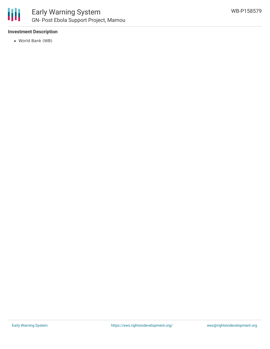

# **Investment Description**

World Bank (WB)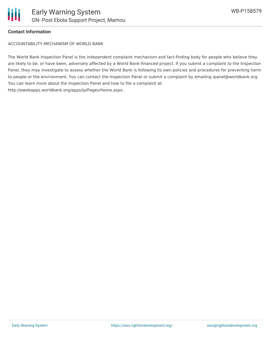

### **Contact Information**

ACCOUNTABILITY MECHANISM OF WORLD BANK

The World Bank Inspection Panel is the independent complaint mechanism and fact-finding body for people who believe they are likely to be, or have been, adversely affected by a World Bank-financed project. If you submit a complaint to the Inspection Panel, they may investigate to assess whether the World Bank is following its own policies and procedures for preventing harm to people or the environment. You can contact the Inspection Panel or submit a complaint by emailing ipanel@worldbank.org. You can learn more about the Inspection Panel and how to file a complaint at: http://ewebapps.worldbank.org/apps/ip/Pages/Home.aspx.